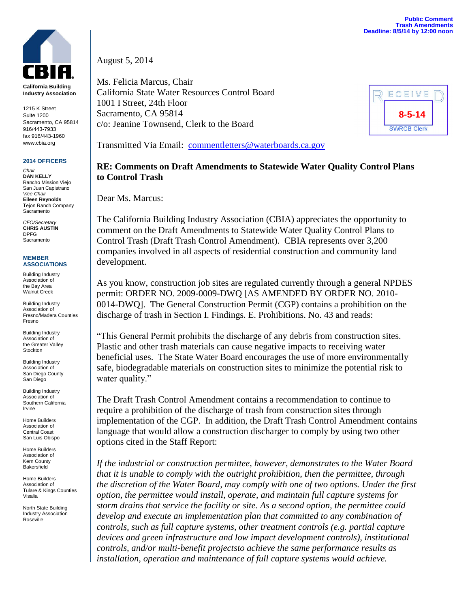

**California Building Industry Association**

1215 K Street Suite 1200 Sacramento, CA 95814 916/443-7933 fax 916/443-1960 www.cbia.org

## **2014 OFFICERS**

*Chair* **DAN KELLY** Rancho Mission Viejo San Juan Capistrano *Vice Chair* **Eileen Reynolds** Tejon Ranch Company **Sacramento** 

*CFO/Secretary* **CHRIS AUSTIN** DPFG Sacramento

## **MEMBER ASSOCIATIONS**

Building Industry Association of the Bay Area Walnut Creek

Building Industry Association of Fresno/Madera Counties Fresno

Building Industry Association of the Greater Valley Stockton

Building Industry Association of San Diego County San Diego

Building Industry Association of Southern California Irvine

Home Builders Association of Central Coast San Luis Obispo

Home Builders Association of Kern County Bakersfield

Home Builders Association of Tulare & Kings Counties Visalia

North State Building Industry Association Roseville

August 5, 2014

Ms. Felicia Marcus, Chair California State Water Resources Control Board 1001 I Street, 24th Floor Sacramento, CA 95814 c/o: Jeanine Townsend, Clerk to the Board



Transmitted Via Email: [commentletters@waterboards.ca.gov](mailto:commentletters@waterboards.ca.gov)

## **RE: Comments on Draft Amendments to Statewide Water Quality Control Plans to Control Trash**

Dear Ms. Marcus:

The California Building Industry Association (CBIA) appreciates the opportunity to comment on the Draft Amendments to Statewide Water Quality Control Plans to Control Trash (Draft Trash Control Amendment). CBIA represents over 3,200 companies involved in all aspects of residential construction and community land development.

As you know, construction job sites are regulated currently through a general NPDES permit: ORDER NO. 2009-0009-DWQ [AS AMENDED BY ORDER NO. 2010- 0014-DWQ]. The General Construction Permit (CGP) contains a prohibition on the discharge of trash in Section I. Findings. E. Prohibitions. No. 43 and reads:

"This General Permit prohibits the discharge of any debris from construction sites. Plastic and other trash materials can cause negative impacts to receiving water beneficial uses. The State Water Board encourages the use of more environmentally safe, biodegradable materials on construction sites to minimize the potential risk to water quality."

The Draft Trash Control Amendment contains a recommendation to continue to require a prohibition of the discharge of trash from construction sites through implementation of the CGP. In addition, the Draft Trash Control Amendment contains language that would allow a construction discharger to comply by using two other options cited in the Staff Report:

*If the industrial or construction permittee, however, demonstrates to the Water Board that it is unable to comply with the outright prohibition, then the permittee, through the discretion of the Water Board, may comply with one of two options. Under the first option, the permittee would install, operate, and maintain full capture systems for storm drains that service the facility or site. As a second option, the permittee could develop and execute an implementation plan that committed to any combination of controls, such as full capture systems, other treatment controls (e.g. partial capture devices and green infrastructure and low impact development controls), institutional controls, and/or multi-benefit projectsto achieve the same performance results as installation, operation and maintenance of full capture systems would achieve.*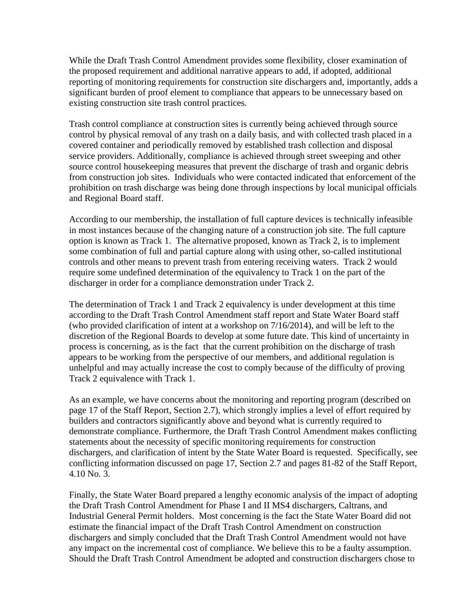While the Draft Trash Control Amendment provides some flexibility, closer examination of the proposed requirement and additional narrative appears to add, if adopted, additional reporting of monitoring requirements for construction site dischargers and, importantly, adds a significant burden of proof element to compliance that appears to be unnecessary based on existing construction site trash control practices.

Trash control compliance at construction sites is currently being achieved through source control by physical removal of any trash on a daily basis, and with collected trash placed in a covered container and periodically removed by established trash collection and disposal service providers. Additionally, compliance is achieved through street sweeping and other source control housekeeping measures that prevent the discharge of trash and organic debris from construction job sites. Individuals who were contacted indicated that enforcement of the prohibition on trash discharge was being done through inspections by local municipal officials and Regional Board staff.

According to our membership, the installation of full capture devices is technically infeasible in most instances because of the changing nature of a construction job site. The full capture option is known as Track 1. The alternative proposed, known as Track 2, is to implement some combination of full and partial capture along with using other, so-called institutional controls and other means to prevent trash from entering receiving waters. Track 2 would require some undefined determination of the equivalency to Track 1 on the part of the discharger in order for a compliance demonstration under Track 2.

The determination of Track 1 and Track 2 equivalency is under development at this time according to the Draft Trash Control Amendment staff report and State Water Board staff (who provided clarification of intent at a workshop on 7/16/2014), and will be left to the discretion of the Regional Boards to develop at some future date. This kind of uncertainty in process is concerning, as is the fact that the current prohibition on the discharge of trash appears to be working from the perspective of our members, and additional regulation is unhelpful and may actually increase the cost to comply because of the difficulty of proving Track 2 equivalence with Track 1.

As an example, we have concerns about the monitoring and reporting program (described on page 17 of the Staff Report, Section 2.7), which strongly implies a level of effort required by builders and contractors significantly above and beyond what is currently required to demonstrate compliance. Furthermore, the Draft Trash Control Amendment makes conflicting statements about the necessity of specific monitoring requirements for construction dischargers, and clarification of intent by the State Water Board is requested. Specifically, see conflicting information discussed on page 17, Section 2.7 and pages 81-82 of the Staff Report, 4.10 No. 3.

Finally, the State Water Board prepared a lengthy economic analysis of the impact of adopting the Draft Trash Control Amendment for Phase I and II MS4 dischargers, Caltrans, and Industrial General Permit holders. Most concerning is the fact the State Water Board did not estimate the financial impact of the Draft Trash Control Amendment on construction dischargers and simply concluded that the Draft Trash Control Amendment would not have any impact on the incremental cost of compliance. We believe this to be a faulty assumption. Should the Draft Trash Control Amendment be adopted and construction dischargers chose to